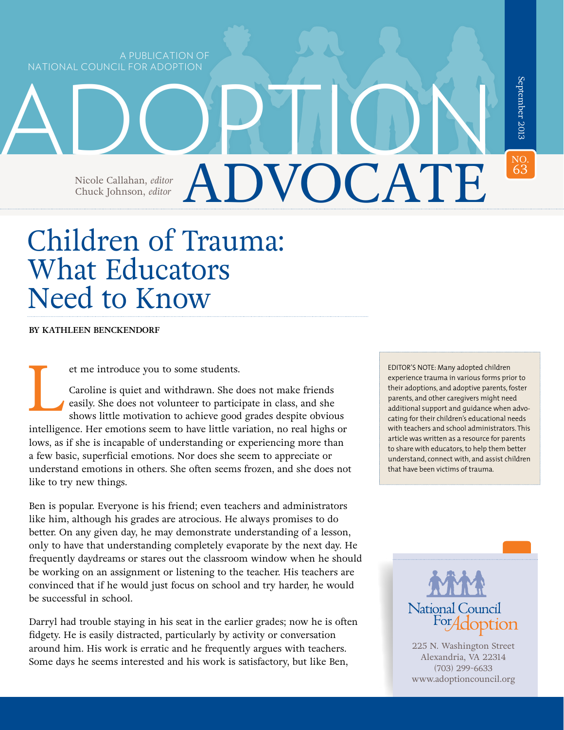A PUBLICATION OF NATIONAL COUNCIL FOR ADOPTION

Chuck Johnson, *editor* 

Children of Trauma: What Educators Need to Know

Nicole Callahan, *editor* ADVOCATE

ADOPTION

**BY KATHLEEN BENCKENDORF**

et me introduce you to some students.<br>Caroline is quiet and withdrawn. She desily. She does not volunteer to parties<br>shows little motivation to achieve good Caroline is quiet and withdrawn. She does not make friends easily. She does not volunteer to participate in class, and she shows little motivation to achieve good grades despite obvious intelligence. Her emotions seem to have little variation, no real highs or lows, as if she is incapable of understanding or experiencing more than a few basic, superficial emotions. Nor does she seem to appreciate or understand emotions in others. She often seems frozen, and she does not like to try new things.

Ben is popular. Everyone is his friend; even teachers and administrators like him, although his grades are atrocious. He always promises to do better. On any given day, he may demonstrate understanding of a lesson, only to have that understanding completely evaporate by the next day. He frequently daydreams or stares out the classroom window when he should be working on an assignment or listening to the teacher. His teachers are convinced that if he would just focus on school and try harder, he would be successful in school.

Darryl had trouble staying in his seat in the earlier grades; now he is often fidgety. He is easily distracted, particularly by activity or conversation around him. His work is erratic and he frequently argues with teachers. Some days he seems interested and his work is satisfactory, but like Ben,

EDITOR'S NOTE: Many adopted children experience trauma in various forms prior to their adoptions, and adoptive parents, foster parents, and other caregivers might need additional support and guidance when advocating for their children's educational needs with teachers and school administrators. This article was written as a resource for parents to share with educators, to help them better understand, connect with, and assist children that have been victims of trauma.

NO.<br>63

63September 2013

September 2013

225 N. Washington Street Alexandria, VA 22314 (703) 299-6633 [www.adoptioncouncil.org](http://www.adoptioncouncil.org)

National Council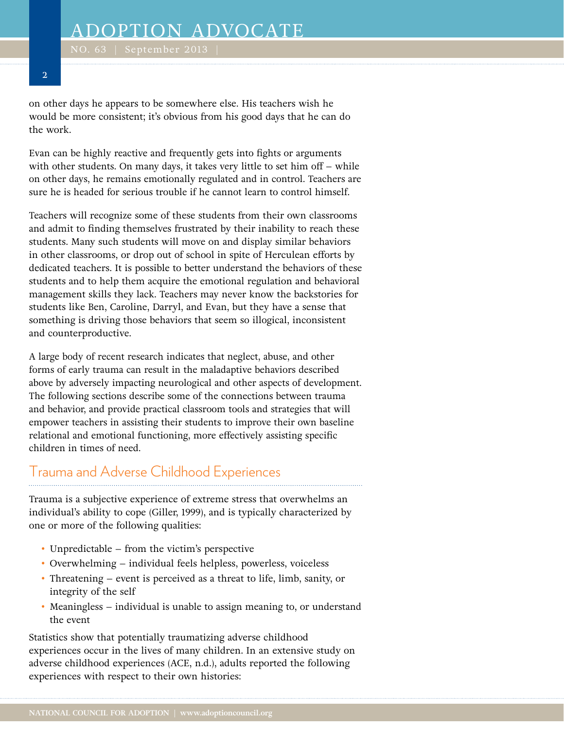on other days he appears to be somewhere else. His teachers wish he would be more consistent; it's obvious from his good days that he can do the work.

Evan can be highly reactive and frequently gets into fights or arguments with other students. On many days, it takes very little to set him off – while on other days, he remains emotionally regulated and in control. Teachers are sure he is headed for serious trouble if he cannot learn to control himself.

Teachers will recognize some of these students from their own classrooms and admit to finding themselves frustrated by their inability to reach these students. Many such students will move on and display similar behaviors in other classrooms, or drop out of school in spite of Herculean efforts by dedicated teachers. It is possible to better understand the behaviors of these students and to help them acquire the emotional regulation and behavioral management skills they lack. Teachers may never know the backstories for students like Ben, Caroline, Darryl, and Evan, but they have a sense that something is driving those behaviors that seem so illogical, inconsistent and counterproductive.

A large body of recent research indicates that neglect, abuse, and other forms of early trauma can result in the maladaptive behaviors described above by adversely impacting neurological and other aspects of development. The following sections describe some of the connections between trauma and behavior, and provide practical classroom tools and strategies that will empower teachers in assisting their students to improve their own baseline relational and emotional functioning, more effectively assisting specific children in times of need.

## Trauma and Adverse Childhood Experiences

Trauma is a subjective experience of extreme stress that overwhelms an individual's ability to cope (Giller, 1999), and is typically characterized by one or more of the following qualities:

- Unpredictable from the victim's perspective
- Overwhelming individual feels helpless, powerless, voiceless
- Threatening event is perceived as a threat to life, limb, sanity, or integrity of the self
- Meaningless individual is unable to assign meaning to, or understand the event

Statistics show that potentially traumatizing adverse childhood experiences occur in the lives of many children. In an extensive study on adverse childhood experiences (ACE, n.d.), adults reported the following experiences with respect to their own histories: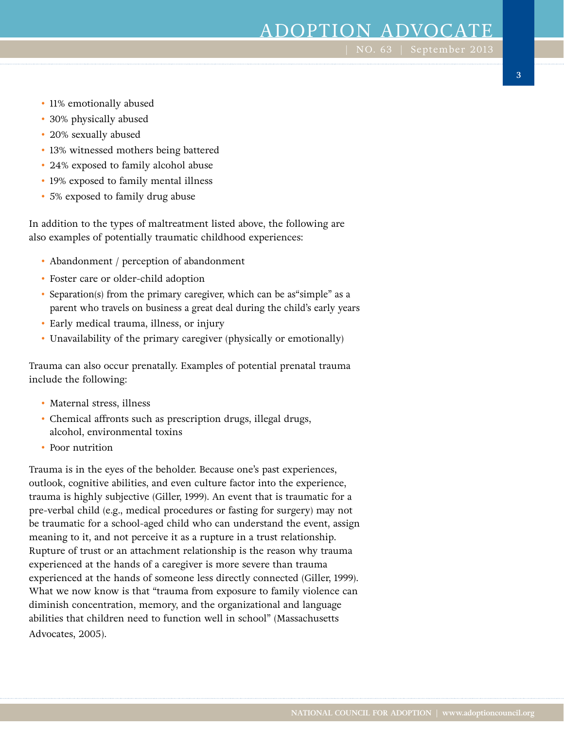- 11% emotionally abused
- 30% physically abused
- 20% sexually abused
- 13% witnessed mothers being battered
- 24% exposed to family alcohol abuse
- 19% exposed to family mental illness
- 5% exposed to family drug abuse

In addition to the types of maltreatment listed above, the following are also examples of potentially traumatic childhood experiences:

- Abandonment / perception of abandonment
- Foster care or older-child adoption
- Separation(s) from the primary caregiver, which can be as"simple" as a parent who travels on business a great deal during the child's early years
- Early medical trauma, illness, or injury
- Unavailability of the primary caregiver (physically or emotionally)

Trauma can also occur prenatally. Examples of potential prenatal trauma include the following:

- Maternal stress, illness
- Chemical affronts such as prescription drugs, illegal drugs, alcohol, environmental toxins
- Poor nutrition

Trauma is in the eyes of the beholder. Because one's past experiences, outlook, cognitive abilities, and even culture factor into the experience, trauma is highly subjective (Giller, 1999). An event that is traumatic for a pre-verbal child (e.g., medical procedures or fasting for surgery) may not be traumatic for a school-aged child who can understand the event, assign meaning to it, and not perceive it as a rupture in a trust relationship. Rupture of trust or an attachment relationship is the reason why trauma experienced at the hands of a caregiver is more severe than trauma experienced at the hands of someone less directly connected (Giller, 1999). What we now know is that "trauma from exposure to family violence can diminish concentration, memory, and the organizational and language abilities that children need to function well in school" (Massachusetts Advocates, 2005).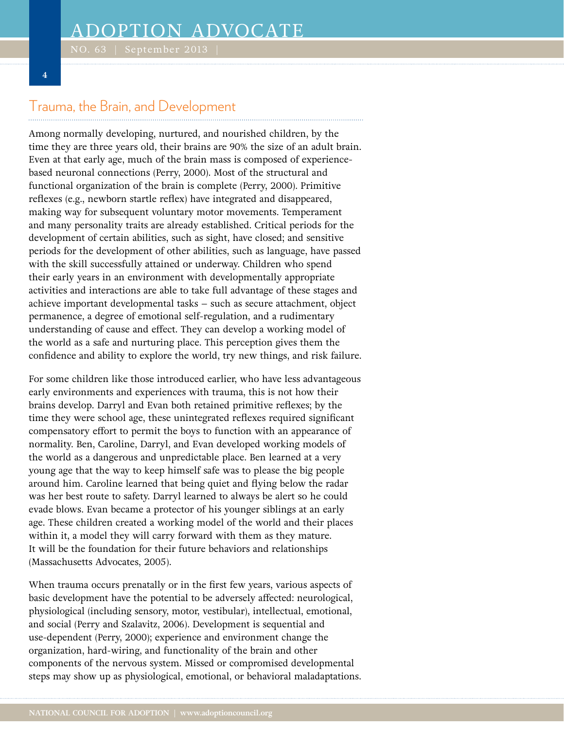### **4**

### Trauma, the Brain, and Development

Among normally developing, nurtured, and nourished children, by the time they are three years old, their brains are 90% the size of an adult brain. Even at that early age, much of the brain mass is composed of experiencebased neuronal connections (Perry, 2000). Most of the structural and functional organization of the brain is complete (Perry, 2000). Primitive reflexes (e.g., newborn startle reflex) have integrated and disappeared, making way for subsequent voluntary motor movements. Temperament and many personality traits are already established. Critical periods for the development of certain abilities, such as sight, have closed; and sensitive periods for the development of other abilities, such as language, have passed with the skill successfully attained or underway. Children who spend their early years in an environment with developmentally appropriate activities and interactions are able to take full advantage of these stages and achieve important developmental tasks – such as secure attachment, object permanence, a degree of emotional self-regulation, and a rudimentary understanding of cause and effect. They can develop a working model of the world as a safe and nurturing place. This perception gives them the confidence and ability to explore the world, try new things, and risk failure.

For some children like those introduced earlier, who have less advantageous early environments and experiences with trauma, this is not how their brains develop. Darryl and Evan both retained primitive reflexes; by the time they were school age, these unintegrated reflexes required significant compensatory effort to permit the boys to function with an appearance of normality. Ben, Caroline, Darryl, and Evan developed working models of the world as a dangerous and unpredictable place. Ben learned at a very young age that the way to keep himself safe was to please the big people around him. Caroline learned that being quiet and flying below the radar was her best route to safety. Darryl learned to always be alert so he could evade blows. Evan became a protector of his younger siblings at an early age. These children created a working model of the world and their places within it, a model they will carry forward with them as they mature. It will be the foundation for their future behaviors and relationships (Massachusetts Advocates, 2005).

When trauma occurs prenatally or in the first few years, various aspects of basic development have the potential to be adversely affected: neurological, physiological (including sensory, motor, vestibular), intellectual, emotional, and social (Perry and Szalavitz, 2006). Development is sequential and use-dependent (Perry, 2000); experience and environment change the organization, hard-wiring, and functionality of the brain and other components of the nervous system. Missed or compromised developmental steps may show up as physiological, emotional, or behavioral maladaptations.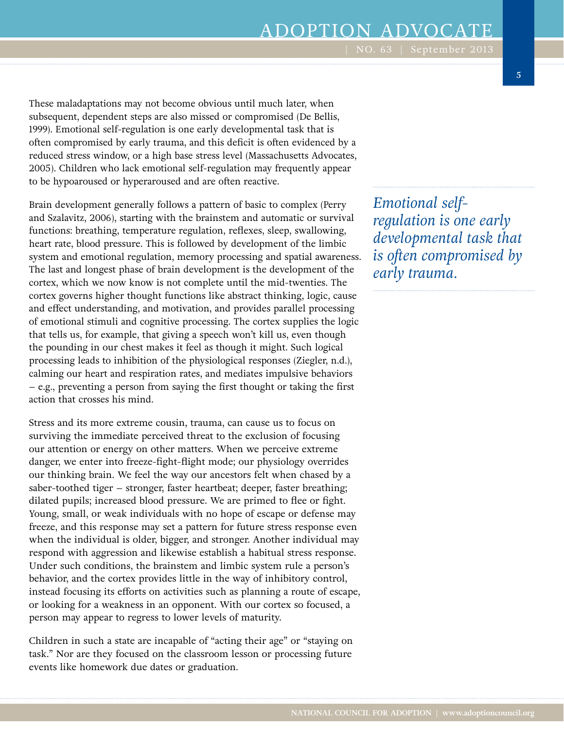These maladaptations may not become obvious until much later, when subsequent, dependent steps are also missed or compromised (De Bellis, 1999). Emotional self-regulation is one early developmental task that is often compromised by early trauma, and this deficit is often evidenced by a reduced stress window, or a high base stress level (Massachusetts Advocates, 2005). Children who lack emotional self-regulation may frequently appear to be hypoaroused or hyperaroused and are often reactive.

Brain development generally follows a pattern of basic to complex (Perry and Szalavitz, 2006), starting with the brainstem and automatic or survival functions: breathing, temperature regulation, reflexes, sleep, swallowing, heart rate, blood pressure. This is followed by development of the limbic system and emotional regulation, memory processing and spatial awareness. The last and longest phase of brain development is the development of the cortex, which we now know is not complete until the mid-twenties. The cortex governs higher thought functions like abstract thinking, logic, cause and effect understanding, and motivation, and provides parallel processing of emotional stimuli and cognitive processing. The cortex supplies the logic that tells us, for example, that giving a speech won't kill us, even though the pounding in our chest makes it feel as though it might. Such logical processing leads to inhibition of the physiological responses (Ziegler, n.d.), calming our heart and respiration rates, and mediates impulsive behaviors – e.g., preventing a person from saying the first thought or taking the first action that crosses his mind.

Stress and its more extreme cousin, trauma, can cause us to focus on surviving the immediate perceived threat to the exclusion of focusing our attention or energy on other matters. When we perceive extreme danger, we enter into freeze-fight-flight mode; our physiology overrides our thinking brain. We feel the way our ancestors felt when chased by a saber-toothed tiger – stronger, faster heartbeat; deeper, faster breathing; dilated pupils; increased blood pressure. We are primed to flee or fight. Young, small, or weak individuals with no hope of escape or defense may freeze, and this response may set a pattern for future stress response even when the individual is older, bigger, and stronger. Another individual may respond with aggression and likewise establish a habitual stress response. Under such conditions, the brainstem and limbic system rule a person's behavior, and the cortex provides little in the way of inhibitory control, instead focusing its efforts on activities such as planning a route of escape, or looking for a weakness in an opponent. With our cortex so focused, a person may appear to regress to lower levels of maturity.

Children in such a state are incapable of "acting their age" or "staying on task." Nor are they focused on the classroom lesson or processing future events like homework due dates or graduation.

*Emotional selfregulation is one early developmental task that is often compromised by early trauma.*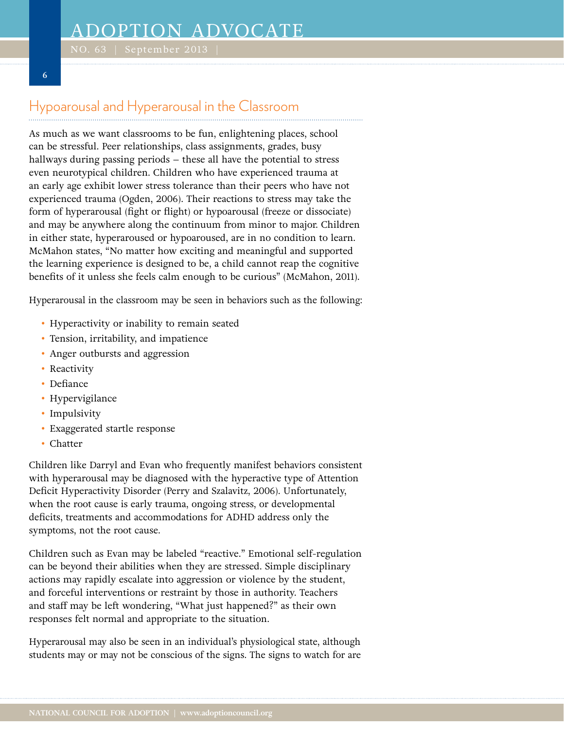# Hypoarousal and Hyperarousal in the Classroom

As much as we want classrooms to be fun, enlightening places, school can be stressful. Peer relationships, class assignments, grades, busy hallways during passing periods – these all have the potential to stress even neurotypical children. Children who have experienced trauma at an early age exhibit lower stress tolerance than their peers who have not experienced trauma (Ogden, 2006). Their reactions to stress may take the form of hyperarousal (fight or flight) or hypoarousal (freeze or dissociate) and may be anywhere along the continuum from minor to major. Children in either state, hyperaroused or hypoaroused, are in no condition to learn. McMahon states, "No matter how exciting and meaningful and supported the learning experience is designed to be, a child cannot reap the cognitive benefits of it unless she feels calm enough to be curious" (McMahon, 2011).

Hyperarousal in the classroom may be seen in behaviors such as the following:

- Hyperactivity or inability to remain seated
- Tension, irritability, and impatience
- Anger outbursts and aggression
- Reactivity
- Defiance

**6**

- Hypervigilance
- Impulsivity
- Exaggerated startle response
- Chatter

Children like Darryl and Evan who frequently manifest behaviors consistent with hyperarousal may be diagnosed with the hyperactive type of Attention Deficit Hyperactivity Disorder (Perry and Szalavitz, 2006). Unfortunately, when the root cause is early trauma, ongoing stress, or developmental deficits, treatments and accommodations for ADHD address only the symptoms, not the root cause.

Children such as Evan may be labeled "reactive." Emotional self-regulation can be beyond their abilities when they are stressed. Simple disciplinary actions may rapidly escalate into aggression or violence by the student, and forceful interventions or restraint by those in authority. Teachers and staff may be left wondering, "What just happened?" as their own responses felt normal and appropriate to the situation.

Hyperarousal may also be seen in an individual's physiological state, although students may or may not be conscious of the signs. The signs to watch for are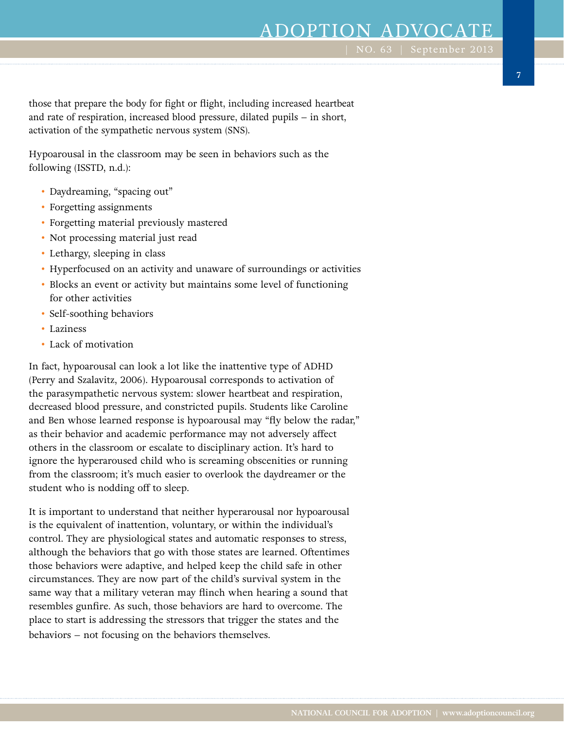**7**

those that prepare the body for fight or flight, including increased heartbeat and rate of respiration, increased blood pressure, dilated pupils – in short, activation of the sympathetic nervous system (SNS).

Hypoarousal in the classroom may be seen in behaviors such as the following (ISSTD, n.d.):

- Daydreaming, "spacing out"
- Forgetting assignments
- Forgetting material previously mastered
- Not processing material just read
- Lethargy, sleeping in class
- Hyperfocused on an activity and unaware of surroundings or activities
- Blocks an event or activity but maintains some level of functioning for other activities
- Self-soothing behaviors
- Laziness
- Lack of motivation

In fact, hypoarousal can look a lot like the inattentive type of ADHD (Perry and Szalavitz, 2006). Hypoarousal corresponds to activation of the parasympathetic nervous system: slower heartbeat and respiration, decreased blood pressure, and constricted pupils. Students like Caroline and Ben whose learned response is hypoarousal may "fly below the radar," as their behavior and academic performance may not adversely affect others in the classroom or escalate to disciplinary action. It's hard to ignore the hyperaroused child who is screaming obscenities or running from the classroom; it's much easier to overlook the daydreamer or the student who is nodding off to sleep.

It is important to understand that neither hyperarousal nor hypoarousal is the equivalent of inattention, voluntary, or within the individual's control. They are physiological states and automatic responses to stress, although the behaviors that go with those states are learned. Oftentimes those behaviors were adaptive, and helped keep the child safe in other circumstances. They are now part of the child's survival system in the same way that a military veteran may flinch when hearing a sound that resembles gunfire. As such, those behaviors are hard to overcome. The place to start is addressing the stressors that trigger the states and the behaviors – not focusing on the behaviors themselves.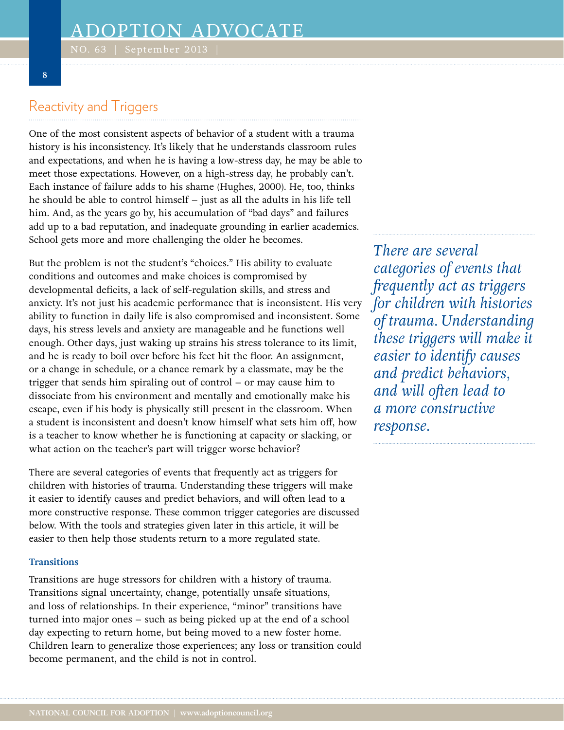### Reactivity and Triggers

One of the most consistent aspects of behavior of a student with a trauma history is his inconsistency. It's likely that he understands classroom rules and expectations, and when he is having a low-stress day, he may be able to meet those expectations. However, on a high-stress day, he probably can't. Each instance of failure adds to his shame (Hughes, 2000). He, too, thinks he should be able to control himself – just as all the adults in his life tell him. And, as the years go by, his accumulation of "bad days" and failures add up to a bad reputation, and inadequate grounding in earlier academics. School gets more and more challenging the older he becomes.

But the problem is not the student's "choices." His ability to evaluate conditions and outcomes and make choices is compromised by developmental deficits, a lack of self-regulation skills, and stress and anxiety. It's not just his academic performance that is inconsistent. His very ability to function in daily life is also compromised and inconsistent. Some days, his stress levels and anxiety are manageable and he functions well enough. Other days, just waking up strains his stress tolerance to its limit, and he is ready to boil over before his feet hit the floor. An assignment, or a change in schedule, or a chance remark by a classmate, may be the trigger that sends him spiraling out of control – or may cause him to dissociate from his environment and mentally and emotionally make his escape, even if his body is physically still present in the classroom. When a student is inconsistent and doesn't know himself what sets him off, how is a teacher to know whether he is functioning at capacity or slacking, or what action on the teacher's part will trigger worse behavior?

There are several categories of events that frequently act as triggers for children with histories of trauma. Understanding these triggers will make it easier to identify causes and predict behaviors, and will often lead to a more constructive response. These common trigger categories are discussed below. With the tools and strategies given later in this article, it will be easier to then help those students return to a more regulated state.

### **Transitions**

Transitions are huge stressors for children with a history of trauma. Transitions signal uncertainty, change, potentially unsafe situations, and loss of relationships. In their experience, "minor" transitions have turned into major ones – such as being picked up at the end of a school day expecting to return home, but being moved to a new foster home. Children learn to generalize those experiences; any loss or transition could become permanent, and the child is not in control.

*There are several categories of events that frequently act as triggers for children with histories of trauma. Understanding these triggers will make it easier to identify causes and predict behaviors, and will often lead to a more constructive response.*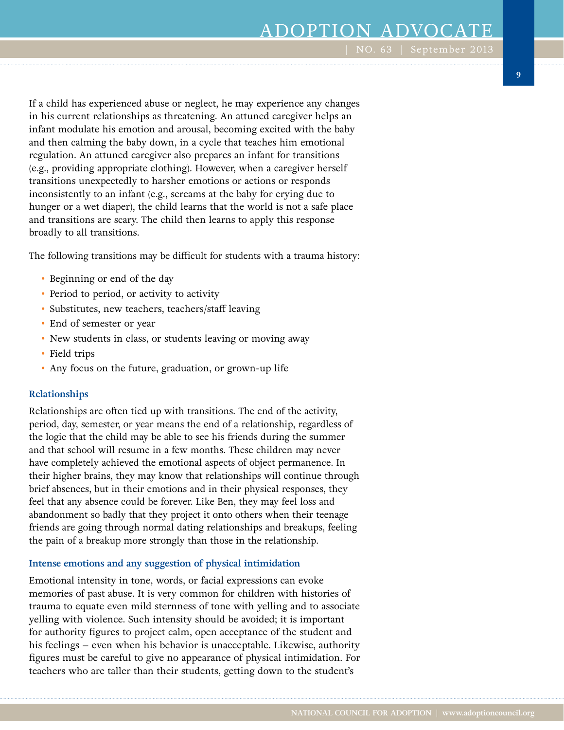If a child has experienced abuse or neglect, he may experience any changes in his current relationships as threatening. An attuned caregiver helps an infant modulate his emotion and arousal, becoming excited with the baby and then calming the baby down, in a cycle that teaches him emotional regulation. An attuned caregiver also prepares an infant for transitions (e.g., providing appropriate clothing). However, when a caregiver herself transitions unexpectedly to harsher emotions or actions or responds inconsistently to an infant (e.g., screams at the baby for crying due to hunger or a wet diaper), the child learns that the world is not a safe place and transitions are scary. The child then learns to apply this response broadly to all transitions.

The following transitions may be difficult for students with a trauma history:

- Beginning or end of the day
- Period to period, or activity to activity
- Substitutes, new teachers, teachers/staff leaving
- End of semester or year
- New students in class, or students leaving or moving away
- Field trips
- Any focus on the future, graduation, or grown-up life

### **Relationships**

Relationships are often tied up with transitions. The end of the activity, period, day, semester, or year means the end of a relationship, regardless of the logic that the child may be able to see his friends during the summer and that school will resume in a few months. These children may never have completely achieved the emotional aspects of object permanence. In their higher brains, they may know that relationships will continue through brief absences, but in their emotions and in their physical responses, they feel that any absence could be forever. Like Ben, they may feel loss and abandonment so badly that they project it onto others when their teenage friends are going through normal dating relationships and breakups, feeling the pain of a breakup more strongly than those in the relationship.

#### **Intense emotions and any suggestion of physical intimidation**

Emotional intensity in tone, words, or facial expressions can evoke memories of past abuse. It is very common for children with histories of trauma to equate even mild sternness of tone with yelling and to associate yelling with violence. Such intensity should be avoided; it is important for authority figures to project calm, open acceptance of the student and his feelings – even when his behavior is unacceptable. Likewise, authority figures must be careful to give no appearance of physical intimidation. For teachers who are taller than their students, getting down to the student's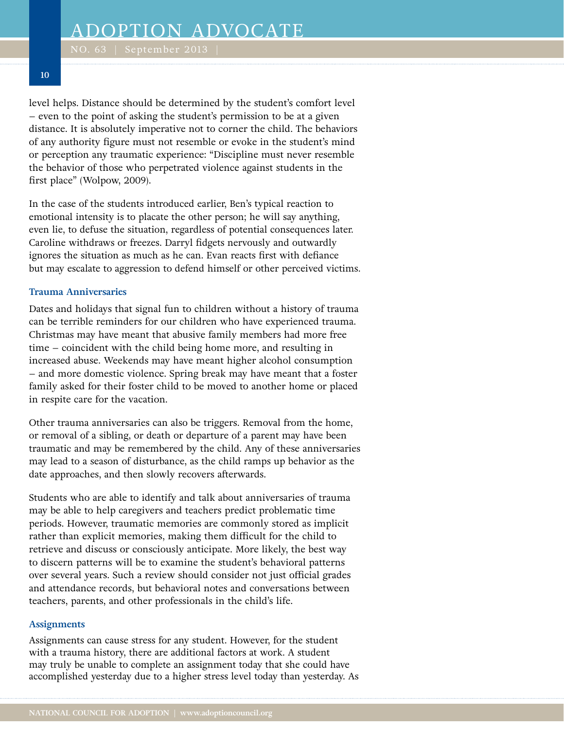level helps. Distance should be determined by the student's comfort level – even to the point of asking the student's permission to be at a given distance. It is absolutely imperative not to corner the child. The behaviors of any authority figure must not resemble or evoke in the student's mind or perception any traumatic experience: "Discipline must never resemble the behavior of those who perpetrated violence against students in the first place" (Wolpow, 2009).

In the case of the students introduced earlier, Ben's typical reaction to emotional intensity is to placate the other person; he will say anything, even lie, to defuse the situation, regardless of potential consequences later. Caroline withdraws or freezes. Darryl fidgets nervously and outwardly ignores the situation as much as he can. Evan reacts first with defiance but may escalate to aggression to defend himself or other perceived victims.

### **Trauma Anniversaries**

Dates and holidays that signal fun to children without a history of trauma can be terrible reminders for our children who have experienced trauma. Christmas may have meant that abusive family members had more free time – coincident with the child being home more, and resulting in increased abuse. Weekends may have meant higher alcohol consumption – and more domestic violence. Spring break may have meant that a foster family asked for their foster child to be moved to another home or placed in respite care for the vacation.

Other trauma anniversaries can also be triggers. Removal from the home, or removal of a sibling, or death or departure of a parent may have been traumatic and may be remembered by the child. Any of these anniversaries may lead to a season of disturbance, as the child ramps up behavior as the date approaches, and then slowly recovers afterwards.

Students who are able to identify and talk about anniversaries of trauma may be able to help caregivers and teachers predict problematic time periods. However, traumatic memories are commonly stored as implicit rather than explicit memories, making them difficult for the child to retrieve and discuss or consciously anticipate. More likely, the best way to discern patterns will be to examine the student's behavioral patterns over several years. Such a review should consider not just official grades and attendance records, but behavioral notes and conversations between teachers, parents, and other professionals in the child's life.

### **Assignments**

Assignments can cause stress for any student. However, for the student with a trauma history, there are additional factors at work. A student may truly be unable to complete an assignment today that she could have accomplished yesterday due to a higher stress level today than yesterday. As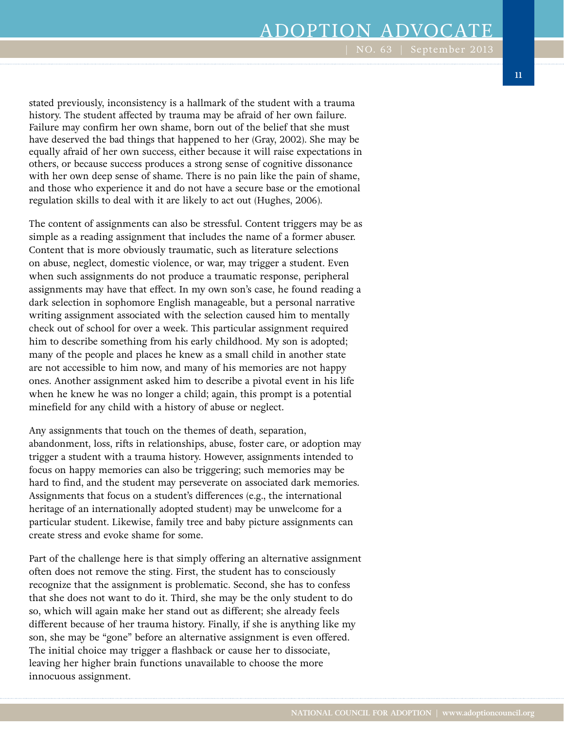stated previously, inconsistency is a hallmark of the student with a trauma history. The student affected by trauma may be afraid of her own failure. Failure may confirm her own shame, born out of the belief that she must have deserved the bad things that happened to her (Gray, 2002). She may be equally afraid of her own success, either because it will raise expectations in others, or because success produces a strong sense of cognitive dissonance with her own deep sense of shame. There is no pain like the pain of shame, and those who experience it and do not have a secure base or the emotional regulation skills to deal with it are likely to act out (Hughes, 2006).

The content of assignments can also be stressful. Content triggers may be as simple as a reading assignment that includes the name of a former abuser. Content that is more obviously traumatic, such as literature selections on abuse, neglect, domestic violence, or war, may trigger a student. Even when such assignments do not produce a traumatic response, peripheral assignments may have that effect. In my own son's case, he found reading a dark selection in sophomore English manageable, but a personal narrative writing assignment associated with the selection caused him to mentally check out of school for over a week. This particular assignment required him to describe something from his early childhood. My son is adopted; many of the people and places he knew as a small child in another state are not accessible to him now, and many of his memories are not happy ones. Another assignment asked him to describe a pivotal event in his life when he knew he was no longer a child; again, this prompt is a potential minefield for any child with a history of abuse or neglect.

Any assignments that touch on the themes of death, separation, abandonment, loss, rifts in relationships, abuse, foster care, or adoption may trigger a student with a trauma history. However, assignments intended to focus on happy memories can also be triggering; such memories may be hard to find, and the student may perseverate on associated dark memories. Assignments that focus on a student's differences (e.g., the international heritage of an internationally adopted student) may be unwelcome for a particular student. Likewise, family tree and baby picture assignments can create stress and evoke shame for some.

Part of the challenge here is that simply offering an alternative assignment often does not remove the sting. First, the student has to consciously recognize that the assignment is problematic. Second, she has to confess that she does not want to do it. Third, she may be the only student to do so, which will again make her stand out as different; she already feels different because of her trauma history. Finally, if she is anything like my son, she may be "gone" before an alternative assignment is even offered. The initial choice may trigger a flashback or cause her to dissociate, leaving her higher brain functions unavailable to choose the more innocuous assignment.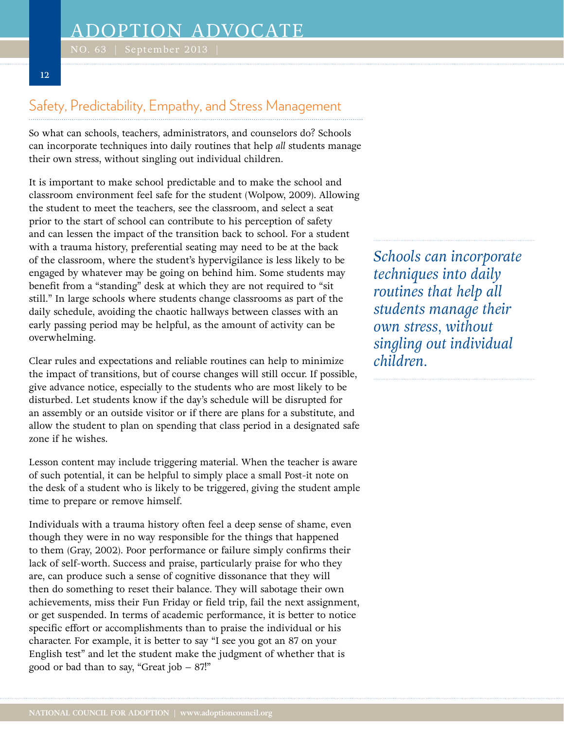## Safety, Predictability, Empathy, and Stress Management

So what can schools, teachers, administrators, and counselors do? Schools can incorporate techniques into daily routines that help *all* students manage their own stress, without singling out individual children.

It is important to make school predictable and to make the school and classroom environment feel safe for the student (Wolpow, 2009). Allowing the student to meet the teachers, see the classroom, and select a seat prior to the start of school can contribute to his perception of safety and can lessen the impact of the transition back to school. For a student with a trauma history, preferential seating may need to be at the back of the classroom, where the student's hypervigilance is less likely to be engaged by whatever may be going on behind him. Some students may benefit from a "standing" desk at which they are not required to "sit still." In large schools where students change classrooms as part of the daily schedule, avoiding the chaotic hallways between classes with an early passing period may be helpful, as the amount of activity can be overwhelming.

Clear rules and expectations and reliable routines can help to minimize the impact of transitions, but of course changes will still occur. If possible, give advance notice, especially to the students who are most likely to be disturbed. Let students know if the day's schedule will be disrupted for an assembly or an outside visitor or if there are plans for a substitute, and allow the student to plan on spending that class period in a designated safe zone if he wishes.

Lesson content may include triggering material. When the teacher is aware of such potential, it can be helpful to simply place a small Post-it note on the desk of a student who is likely to be triggered, giving the student ample time to prepare or remove himself.

Individuals with a trauma history often feel a deep sense of shame, even though they were in no way responsible for the things that happened to them (Gray, 2002). Poor performance or failure simply confirms their lack of self-worth. Success and praise, particularly praise for who they are, can produce such a sense of cognitive dissonance that they will then do something to reset their balance. They will sabotage their own achievements, miss their Fun Friday or field trip, fail the next assignment, or get suspended. In terms of academic performance, it is better to notice specific effort or accomplishments than to praise the individual or his character. For example, it is better to say "I see you got an 87 on your English test" and let the student make the judgment of whether that is good or bad than to say, "Great job – 87!"

*Schools can incorporate techniques into daily routines that help all students manage their own stress, without singling out individual children.*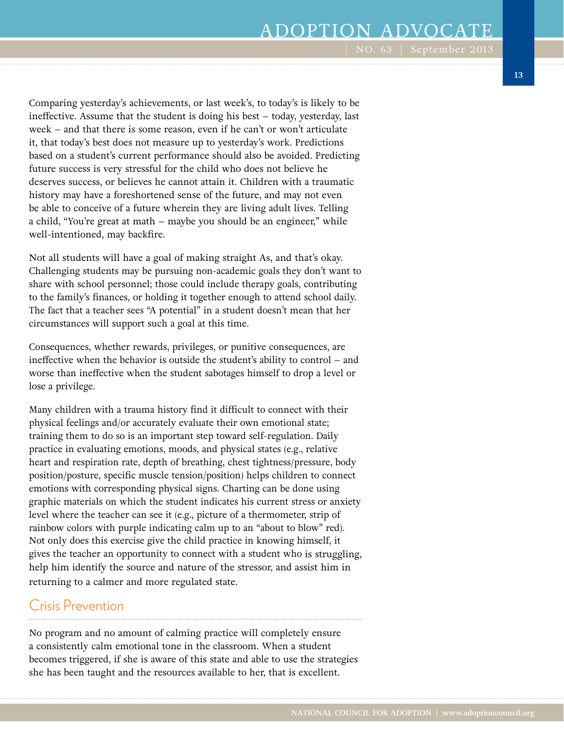Comparing yesterday's achievements, or last week's, to today's is likely to be ineffective. Assume that the student is doing his best – today, yesterday, last week – and that there is some reason, even if he can't or won't articulate it, that today's best does not measure up to yesterday's work. Predictions based on a student's current performance should also be avoided. Predicting future success is very stressful for the child who does not believe he deserves success, or believes he cannot attain it. Children with a traumatic history may have a foreshortened sense of the future, and may not even be able to conceive of a future wherein they are living adult lives. Telling a child, "You're great at math – maybe you should be an engineer," while well-intentioned, may backfire.

Not all students will have a goal of making straight As, and that's okay. Challenging students may be pursuing non-academic goals they don't want to share with school personnel; those could include therapy goals, contributing to the family's finances, or holding it together enough to attend school daily. The fact that a teacher sees "A potential" in a student doesn't mean that her circumstances will support such a goal at this time.

Consequences, whether rewards, privileges, or punitive consequences, are ineffective when the behavior is outside the student's ability to control – and worse than ineffective when the student sabotages himself to drop a level or lose a privilege.

Many children with a trauma history find it difficult to connect with their physical feelings and/or accurately evaluate their own emotional state; training them to do so is an important step toward self-regulation. Daily practice in evaluating emotions, moods, and physical states (e.g., relative heart and respiration rate, depth of breathing, chest tightness/pressure, body position/posture, specific muscle tension/position) helps children to connect emotions with corresponding physical signs. Charting can be done using graphic materials on which the student indicates his current stress or anxiety level where the teacher can see it (e.g., picture of a thermometer, strip of rainbow colors with purple indicating calm up to an "about to blow" red). Not only does this exercise give the child practice in knowing himself, it gives the teacher an opportunity to connect with a student who is struggling, help him identify the source and nature of the stressor, and assist him in returning to a calmer and more regulated state.

### Crisis Prevention

No program and no amount of calming practice will completely ensure a consistently calm emotional tone in the classroom. When a student becomes triggered, if she is aware of this state and able to use the strategies she has been taught and the resources available to her, that is excellent.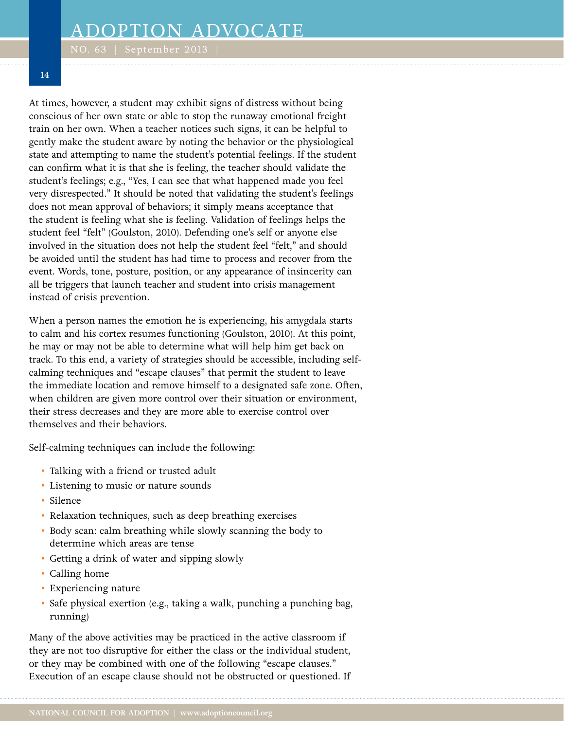At times, however, a student may exhibit signs of distress without being conscious of her own state or able to stop the runaway emotional freight train on her own. When a teacher notices such signs, it can be helpful to gently make the student aware by noting the behavior or the physiological state and attempting to name the student's potential feelings. If the student can confirm what it is that she is feeling, the teacher should validate the student's feelings; e.g., "Yes, I can see that what happened made you feel very disrespected." It should be noted that validating the student's feelings does not mean approval of behaviors; it simply means acceptance that the student is feeling what she is feeling. Validation of feelings helps the student feel "felt" (Goulston, 2010). Defending one's self or anyone else involved in the situation does not help the student feel "felt," and should be avoided until the student has had time to process and recover from the event. Words, tone, posture, position, or any appearance of insincerity can all be triggers that launch teacher and student into crisis management instead of crisis prevention.

When a person names the emotion he is experiencing, his amygdala starts to calm and his cortex resumes functioning (Goulston, 2010). At this point, he may or may not be able to determine what will help him get back on track. To this end, a variety of strategies should be accessible, including selfcalming techniques and "escape clauses" that permit the student to leave the immediate location and remove himself to a designated safe zone. Often, when children are given more control over their situation or environment, their stress decreases and they are more able to exercise control over themselves and their behaviors.

Self-calming techniques can include the following:

- Talking with a friend or trusted adult
- Listening to music or nature sounds
- Silence
- Relaxation techniques, such as deep breathing exercises
- Body scan: calm breathing while slowly scanning the body to determine which areas are tense
- Getting a drink of water and sipping slowly
- Calling home
- Experiencing nature
- Safe physical exertion (e.g., taking a walk, punching a punching bag, running)

Many of the above activities may be practiced in the active classroom if they are not too disruptive for either the class or the individual student, or they may be combined with one of the following "escape clauses." Execution of an escape clause should not be obstructed or questioned. If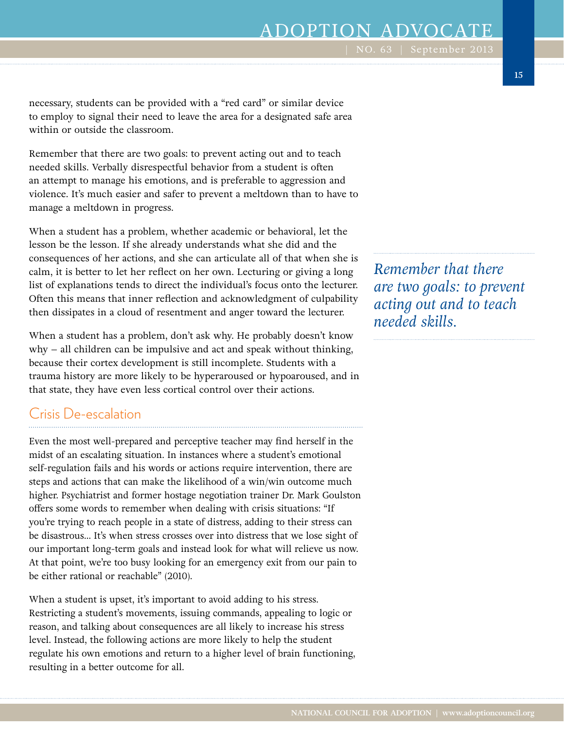necessary, students can be provided with a "red card" or similar device to employ to signal their need to leave the area for a designated safe area within or outside the classroom.

Remember that there are two goals: to prevent acting out and to teach needed skills. Verbally disrespectful behavior from a student is often an attempt to manage his emotions, and is preferable to aggression and violence. It's much easier and safer to prevent a meltdown than to have to manage a meltdown in progress.

When a student has a problem, whether academic or behavioral, let the lesson be the lesson. If she already understands what she did and the consequences of her actions, and she can articulate all of that when she is calm, it is better to let her reflect on her own. Lecturing or giving a long list of explanations tends to direct the individual's focus onto the lecturer. Often this means that inner reflection and acknowledgment of culpability then dissipates in a cloud of resentment and anger toward the lecturer.

When a student has a problem, don't ask why. He probably doesn't know why – all children can be impulsive and act and speak without thinking, because their cortex development is still incomplete. Students with a trauma history are more likely to be hyperaroused or hypoaroused, and in that state, they have even less cortical control over their actions.

### Crisis De-escalation

Even the most well-prepared and perceptive teacher may find herself in the midst of an escalating situation. In instances where a student's emotional self-regulation fails and his words or actions require intervention, there are steps and actions that can make the likelihood of a win/win outcome much higher. Psychiatrist and former hostage negotiation trainer Dr. Mark Goulston offers some words to remember when dealing with crisis situations: "If you're trying to reach people in a state of distress, adding to their stress can be disastrous… It's when stress crosses over into distress that we lose sight of our important long-term goals and instead look for what will relieve us now. At that point, we're too busy looking for an emergency exit from our pain to be either rational or reachable" (2010).

When a student is upset, it's important to avoid adding to his stress. Restricting a student's movements, issuing commands, appealing to logic or reason, and talking about consequences are all likely to increase his stress level. Instead, the following actions are more likely to help the student regulate his own emotions and return to a higher level of brain functioning, resulting in a better outcome for all.

*Remember that there are two goals: to prevent acting out and to teach needed skills.*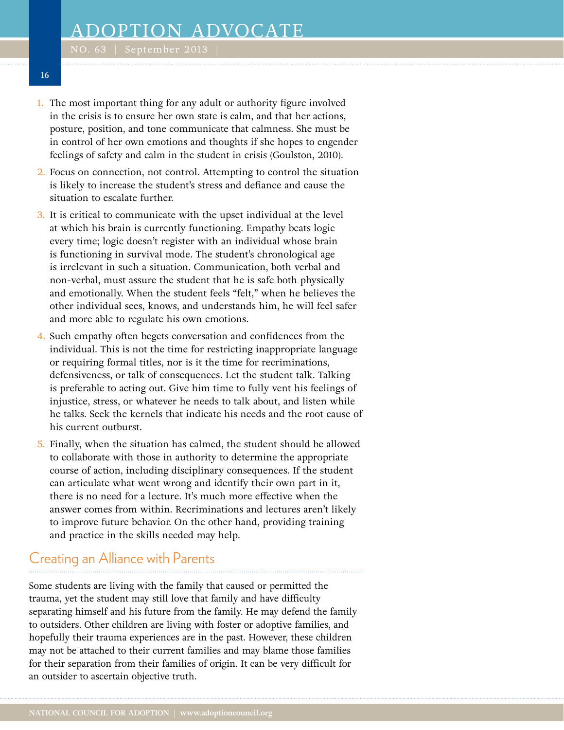- 1. The most important thing for any adult or authority figure involved in the crisis is to ensure her own state is calm, and that her actions, posture, position, and tone communicate that calmness. She must be in control of her own emotions and thoughts if she hopes to engender feelings of safety and calm in the student in crisis (Goulston, 2010).
- 2. Focus on connection, not control. Attempting to control the situation is likely to increase the student's stress and defiance and cause the situation to escalate further.
- 3. It is critical to communicate with the upset individual at the level at which his brain is currently functioning. Empathy beats logic every time; logic doesn't register with an individual whose brain is functioning in survival mode. The student's chronological age is irrelevant in such a situation. Communication, both verbal and non-verbal, must assure the student that he is safe both physically and emotionally. When the student feels "felt," when he believes the other individual sees, knows, and understands him, he will feel safer and more able to regulate his own emotions.
- 4. Such empathy often begets conversation and confidences from the individual. This is not the time for restricting inappropriate language or requiring formal titles, nor is it the time for recriminations, defensiveness, or talk of consequences. Let the student talk. Talking is preferable to acting out. Give him time to fully vent his feelings of injustice, stress, or whatever he needs to talk about, and listen while he talks. Seek the kernels that indicate his needs and the root cause of his current outburst.
- 5. Finally, when the situation has calmed, the student should be allowed to collaborate with those in authority to determine the appropriate course of action, including disciplinary consequences. If the student can articulate what went wrong and identify their own part in it, there is no need for a lecture. It's much more effective when the answer comes from within. Recriminations and lectures aren't likely to improve future behavior. On the other hand, providing training and practice in the skills needed may help.

### Creating an Alliance with Parents

Some students are living with the family that caused or permitted the trauma, yet the student may still love that family and have difficulty separating himself and his future from the family. He may defend the family to outsiders. Other children are living with foster or adoptive families, and hopefully their trauma experiences are in the past. However, these children may not be attached to their current families and may blame those families for their separation from their families of origin. It can be very difficult for an outsider to ascertain objective truth.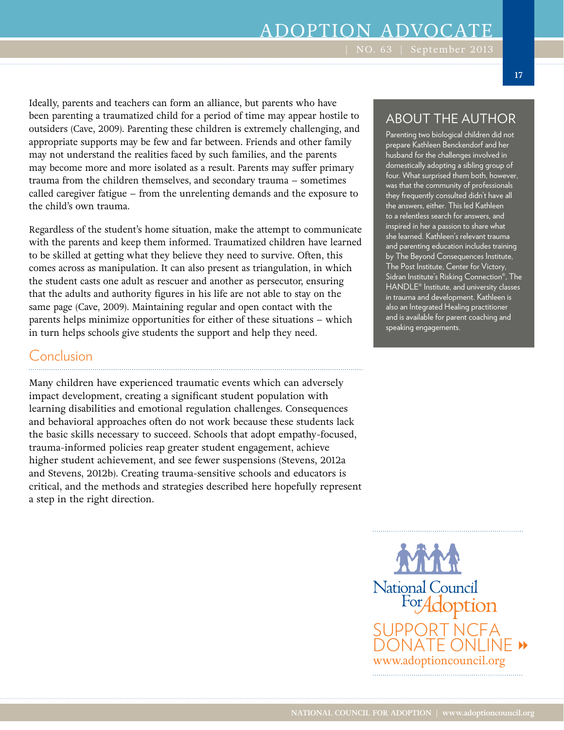Ideally, parents and teachers can form an alliance, but parents who have been parenting a traumatized child for a period of time may appear hostile to outsiders (Cave, 2009). Parenting these children is extremely challenging, and appropriate supports may be few and far between. Friends and other family may not understand the realities faced by such families, and the parents may become more and more isolated as a result. Parents may suffer primary trauma from the children themselves, and secondary trauma – sometimes called caregiver fatigue – from the unrelenting demands and the exposure to the child's own trauma.

Regardless of the student's home situation, make the attempt to communicate with the parents and keep them informed. Traumatized children have learned to be skilled at getting what they believe they need to survive. Often, this comes across as manipulation. It can also present as triangulation, in which the student casts one adult as rescuer and another as persecutor, ensuring that the adults and authority figures in his life are not able to stay on the same page (Cave, 2009). Maintaining regular and open contact with the parents helps minimize opportunities for either of these situations – which in turn helps schools give students the support and help they need.

### Conclusion

Many children have experienced traumatic events which can adversely impact development, creating a significant student population with learning disabilities and emotional regulation challenges. Consequences and behavioral approaches often do not work because these students lack the basic skills necessary to succeed. Schools that adopt empathy-focused, trauma-informed policies reap greater student engagement, achieve higher student achievement, and see fewer suspensions (Stevens, 2012a and Stevens, 2012b). Creating trauma-sensitive schools and educators is critical, and the methods and strategies described here hopefully represent a step in the right direction.

### ABOUT THE AUTHOR

Parenting two biological children did not prepare Kathleen Benckendorf and her husband for the challenges involved in domestically adopting a sibling group of four. What surprised them both, however, was that the community of professionals they frequently consulted didn't have all the answers, either. This led Kathleen to a relentless search for answers, and inspired in her a passion to share what she learned. Kathleen's relevant trauma and parenting education includes training by The Beyond Consequences Institute, The Post Institute, Center for Victory, Sidran Institute's Risking Connection®, The HANDLE® Institute, and university classes in trauma and development. Kathleen is also an Integrated Healing practitioner and is available for parent coaching and speaking engagements.